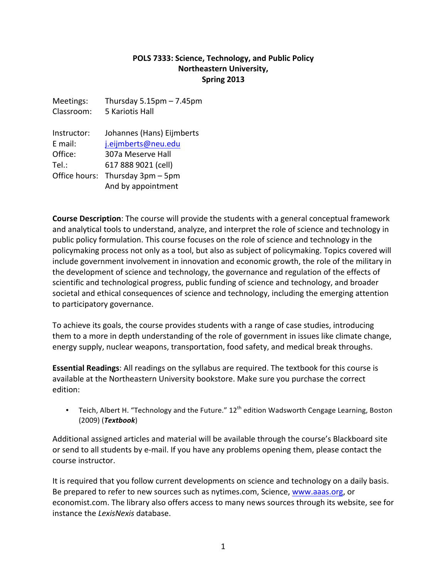#### POLS 7333: Science, Technology, and Public Policy **Northeastern University, Spring 2013**

Meetings: Thursday  $5.15$ pm – 7.45pm Classroom: 5 Kariotis Hall Instructor: Johannes (Hans) Eijmberts E mail: j.eijmberts@neu.edu Office: 307a Meserve Hall Tel.: 617 888 9021 (cell) Office hours: Thursday  $3pm - 5pm$ And by appointment

**Course Description**: The course will provide the students with a general conceptual framework and analytical tools to understand, analyze, and interpret the role of science and technology in public policy formulation. This course focuses on the role of science and technology in the policymaking process not only as a tool, but also as subject of policymaking. Topics covered will include government involvement in innovation and economic growth, the role of the military in the development of science and technology, the governance and regulation of the effects of scientific and technological progress, public funding of science and technology, and broader societal and ethical consequences of science and technology, including the emerging attention to participatory governance.

To achieve its goals, the course provides students with a range of case studies, introducing them to a more in depth understanding of the role of government in issues like climate change, energy supply, nuclear weapons, transportation, food safety, and medical break throughs.

**Essential Readings:** All readings on the syllabus are required. The textbook for this course is available at the Northeastern University bookstore. Make sure you purchase the correct edition:

• Teich, Albert H. "Technology and the Future."  $12<sup>th</sup>$  edition Wadsworth Cengage Learning, Boston (2009) (*Textbook*)

Additional assigned articles and material will be available through the course's Blackboard site or send to all students by e-mail. If you have any problems opening them, please contact the course instructor.

It is required that you follow current developments on science and technology on a daily basis. Be prepared to refer to new sources such as nytimes.com, Science, www.aaas.org, or economist.com. The library also offers access to many news sources through its website, see for instance the LexisNexis database.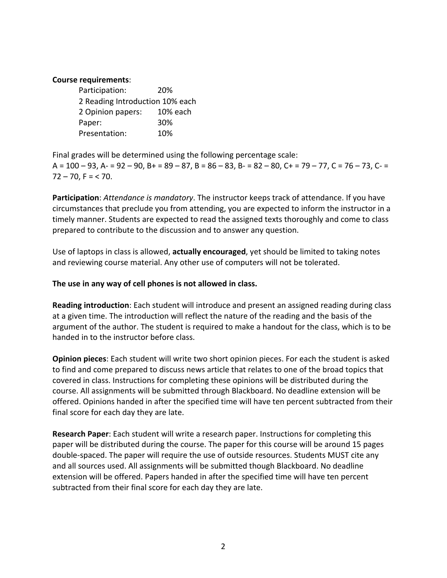#### **Course requirements:**

Participation: 20% 2 Reading Introduction 10% each 2 Opinion papers: 10% each Paper: 30% Presentation: 10%

Final grades will be determined using the following percentage scale:  $A = 100 - 93$ ,  $A = 92 - 90$ ,  $B = 89 - 87$ ,  $B = 86 - 83$ ,  $B = 82 - 80$ ,  $C = 79 - 77$ ,  $C = 76 - 73$ ,  $C = 76 - 73$  $72 - 70$ , F = < 70.

**Participation**: *Attendance is mandatory*. The instructor keeps track of attendance. If you have circumstances that preclude you from attending, you are expected to inform the instructor in a timely manner. Students are expected to read the assigned texts thoroughly and come to class prepared to contribute to the discussion and to answer any question.

Use of laptops in class is allowed, **actually encouraged**, yet should be limited to taking notes and reviewing course material. Any other use of computers will not be tolerated.

#### The use in any way of cell phones is not allowed in class.

**Reading introduction**: Each student will introduce and present an assigned reading during class at a given time. The introduction will reflect the nature of the reading and the basis of the argument of the author. The student is required to make a handout for the class, which is to be handed in to the instructor before class.

**Opinion pieces**: Each student will write two short opinion pieces. For each the student is asked to find and come prepared to discuss news article that relates to one of the broad topics that covered in class. Instructions for completing these opinions will be distributed during the course. All assignments will be submitted through Blackboard. No deadline extension will be offered. Opinions handed in after the specified time will have ten percent subtracted from their final score for each day they are late.

**Research Paper**: Each student will write a research paper. Instructions for completing this paper will be distributed during the course. The paper for this course will be around 15 pages double-spaced. The paper will require the use of outside resources. Students MUST cite any and all sources used. All assignments will be submitted though Blackboard. No deadline extension will be offered. Papers handed in after the specified time will have ten percent subtracted from their final score for each day they are late.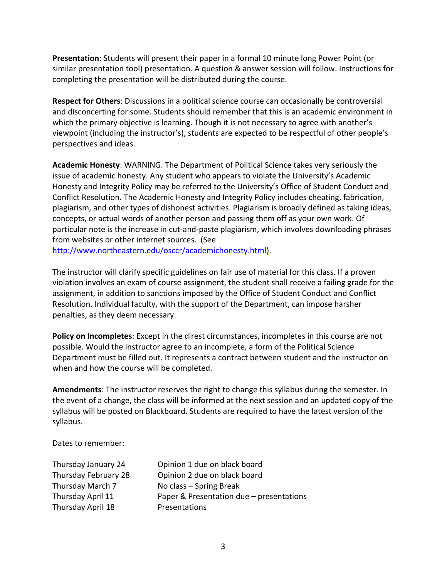**Presentation**: Students will present their paper in a formal 10 minute long Power Point (or similar presentation tool) presentation. A question & answer session will follow. Instructions for completing the presentation will be distributed during the course.

**Respect for Others:** Discussions in a political science course can occasionally be controversial and disconcerting for some. Students should remember that this is an academic environment in which the primary objective is learning. Though it is not necessary to agree with another's viewpoint (including the instructor's), students are expected to be respectful of other people's perspectives and ideas.

**Academic Honesty:** WARNING. The Department of Political Science takes very seriously the issue of academic honesty. Any student who appears to violate the University's Academic Honesty and Integrity Policy may be referred to the University's Office of Student Conduct and Conflict Resolution. The Academic Honesty and Integrity Policy includes cheating, fabrication, plagiarism, and other types of dishonest activities. Plagiarism is broadly defined as taking ideas, concepts, or actual words of another person and passing them off as your own work. Of particular note is the increase in cut-and-paste plagiarism, which involves downloading phrases from websites or other internet sources. (See

http://www.northeastern.edu/osccr/academichonesty.html).

The instructor will clarify specific guidelines on fair use of material for this class. If a proven violation involves an exam of course assignment, the student shall receive a failing grade for the assignment, in addition to sanctions imposed by the Office of Student Conduct and Conflict Resolution. Individual faculty, with the support of the Department, can impose harsher penalties, as they deem necessary.

**Policy on Incompletes**: Except in the direst circumstances, incompletes in this course are not possible. Would the instructor agree to an incomplete, a form of the Political Science Department must be filled out. It represents a contract between student and the instructor on when and how the course will be completed.

**Amendments:** The instructor reserves the right to change this syllabus during the semester. In the event of a change, the class will be informed at the next session and an updated copy of the syllabus will be posted on Blackboard. Students are required to have the latest version of the syllabus.

Dates to remember:

| Thursday January 24  | Opinion 1 due on black board             |
|----------------------|------------------------------------------|
| Thursday February 28 | Opinion 2 due on black board             |
| Thursday March 7     | No class – Spring Break                  |
| Thursday April 11    | Paper & Presentation due - presentations |
| Thursday April 18    | Presentations                            |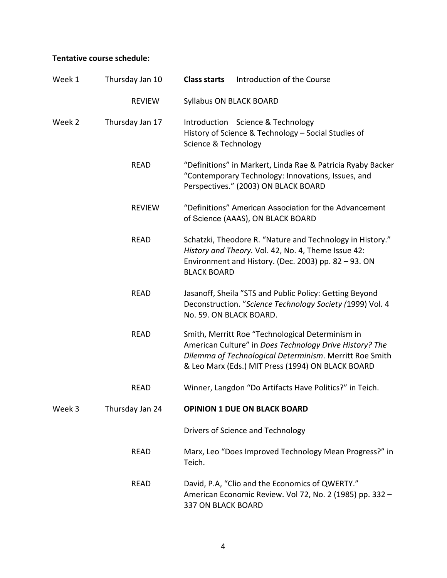## Tentative course schedule:

| Week 1 | Thursday Jan 10 | <b>Class starts</b>            | Introduction of the Course                                                                                                                                                                                                  |
|--------|-----------------|--------------------------------|-----------------------------------------------------------------------------------------------------------------------------------------------------------------------------------------------------------------------------|
|        | <b>REVIEW</b>   | <b>Syllabus ON BLACK BOARD</b> |                                                                                                                                                                                                                             |
| Week 2 | Thursday Jan 17 | Science & Technology           | Introduction Science & Technology<br>History of Science & Technology - Social Studies of                                                                                                                                    |
|        | <b>READ</b>     |                                | "Definitions" in Markert, Linda Rae & Patricia Ryaby Backer<br>"Contemporary Technology: Innovations, Issues, and<br>Perspectives." (2003) ON BLACK BOARD                                                                   |
|        | <b>REVIEW</b>   |                                | "Definitions" American Association for the Advancement<br>of Science (AAAS), ON BLACK BOARD                                                                                                                                 |
|        | <b>READ</b>     | <b>BLACK BOARD</b>             | Schatzki, Theodore R. "Nature and Technology in History."<br>History and Theory. Vol. 42, No. 4, Theme Issue 42:<br>Environment and History. (Dec. 2003) pp. 82 - 93. ON                                                    |
|        | <b>READ</b>     | No. 59. ON BLACK BOARD.        | Jasanoff, Sheila "STS and Public Policy: Getting Beyond<br>Deconstruction. "Science Technology Society (1999) Vol. 4                                                                                                        |
|        | <b>READ</b>     |                                | Smith, Merritt Roe "Technological Determinism in<br>American Culture" in Does Technology Drive History? The<br>Dilemma of Technological Determinism. Merritt Roe Smith<br>& Leo Marx (Eds.) MIT Press (1994) ON BLACK BOARD |
|        | <b>READ</b>     |                                | Winner, Langdon "Do Artifacts Have Politics?" in Teich.                                                                                                                                                                     |
| Week 3 | Thursday Jan 24 |                                | <b>OPINION 1 DUE ON BLACK BOARD</b>                                                                                                                                                                                         |
|        |                 |                                | Drivers of Science and Technology                                                                                                                                                                                           |
|        | <b>READ</b>     | Teich.                         | Marx, Leo "Does Improved Technology Mean Progress?" in                                                                                                                                                                      |
|        | <b>READ</b>     | 337 ON BLACK BOARD             | David, P.A, "Clio and the Economics of QWERTY."<br>American Economic Review. Vol 72, No. 2 (1985) pp. 332 -                                                                                                                 |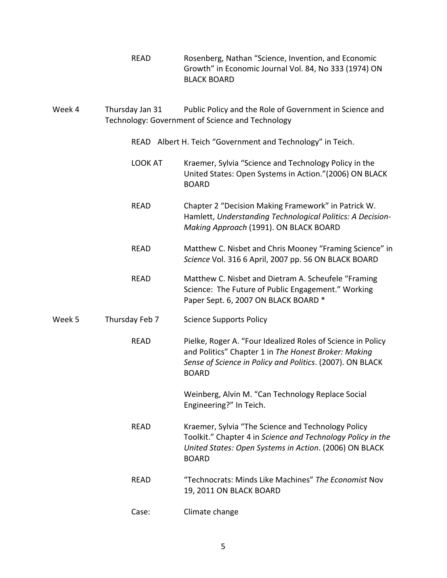- READ Rosenberg, Nathan "Science, Invention, and Economic Growth" in Economic Journal Vol. 84, No 333 (1974) ON BLACK BOARD
- Week 4 Thursday Jan 31 Public Policy and the Role of Government in Science and Technology: Government of Science and Technology
	- READ Albert H. Teich "Government and Technology" in Teich.
	- LOOK AT Kraemer, Sylvia "Science and Technology Policy in the United States: Open Systems in Action."(2006) ON BLACK BOARD
	- READ Chapter 2 "Decision Making Framework" in Patrick W. Hamlett, Understanding Technological Politics: A Decision-*Making Approach* (1991). ON BLACK BOARD
	- READ Matthew C. Nisbet and Chris Mooney "Framing Science" in *Science* Vol. 316 6 April, 2007 pp. 56 ON BLACK BOARD
	- READ Matthew C. Nisbet and Dietram A. Scheufele "Framing" Science: The Future of Public Engagement." Working Paper Sept. 6, 2007 ON BLACK BOARD \*

#### Week 5 Thursday Feb 7 Science Supports Policy

READ Pielke, Roger A. "Four Idealized Roles of Science in Policy and Politics" Chapter 1 in *The Honest Broker: Making Sense of Science in Policy and Politics.* (2007). ON BLACK BOARD

> Weinberg, Alvin M. "Can Technology Replace Social Engineering?" In Teich.

- READ Kraemer, Sylvia "The Science and Technology Policy Toolkit." Chapter 4 in *Science and Technology Policy in the United States: Open Systems in Action*. (2006) ON BLACK BOARD
- READ "Technocrats: Minds Like Machines" *The Economist* Nov 19, 2011 ON BLACK BOARD
- Case: Climate change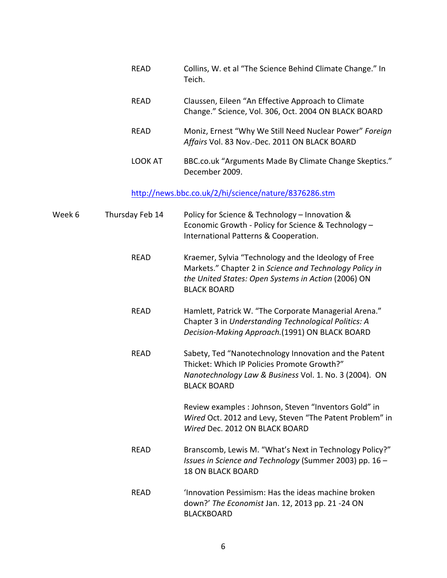| <b>RFAD</b>    | Collins, W. et al "The Science Behind Climate Change." In<br>Teich.                                        |
|----------------|------------------------------------------------------------------------------------------------------------|
| <b>RFAD</b>    | Claussen, Eileen "An Effective Approach to Climate<br>Change." Science, Vol. 306, Oct. 2004 ON BLACK BOARD |
| <b>RFAD</b>    | Moniz, Ernest "Why We Still Need Nuclear Power" Foreign<br>Affairs Vol. 83 Nov.-Dec. 2011 ON BLACK BOARD   |
| <b>LOOK AT</b> | BBC.co.uk "Arguments Made By Climate Change Skeptics."<br>December 2009.                                   |

# http://news.bbc.co.uk/2/hi/science/nature/8376286.stm

| Week 6 | Thursday Feb 14 | Policy for Science & Technology - Innovation &<br>Economic Growth - Policy for Science & Technology -<br>International Patterns & Cooperation.                                               |
|--------|-----------------|----------------------------------------------------------------------------------------------------------------------------------------------------------------------------------------------|
|        | <b>READ</b>     | Kraemer, Sylvia "Technology and the Ideology of Free<br>Markets." Chapter 2 in Science and Technology Policy in<br>the United States: Open Systems in Action (2006) ON<br><b>BLACK BOARD</b> |
|        | <b>READ</b>     | Hamlett, Patrick W. "The Corporate Managerial Arena."<br>Chapter 3 in Understanding Technological Politics: A<br>Decision-Making Approach.(1991) ON BLACK BOARD                              |
|        | <b>READ</b>     | Sabety, Ted "Nanotechnology Innovation and the Patent<br>Thicket: Which IP Policies Promote Growth?"<br>Nanotechnology Law & Business Vol. 1. No. 3 (2004). ON<br><b>BLACK BOARD</b>         |
|        |                 | Review examples : Johnson, Steven "Inventors Gold" in<br>Wired Oct. 2012 and Levy, Steven "The Patent Problem" in<br>Wired Dec. 2012 ON BLACK BOARD                                          |
|        | <b>READ</b>     | Branscomb, Lewis M. "What's Next in Technology Policy?"<br>Issues in Science and Technology (Summer 2003) pp. 16 -<br><b>18 ON BLACK BOARD</b>                                               |
|        | <b>READ</b>     | 'Innovation Pessimism: Has the ideas machine broken<br>down?' The Economist Jan. 12, 2013 pp. 21 -24 ON<br><b>BLACKBOARD</b>                                                                 |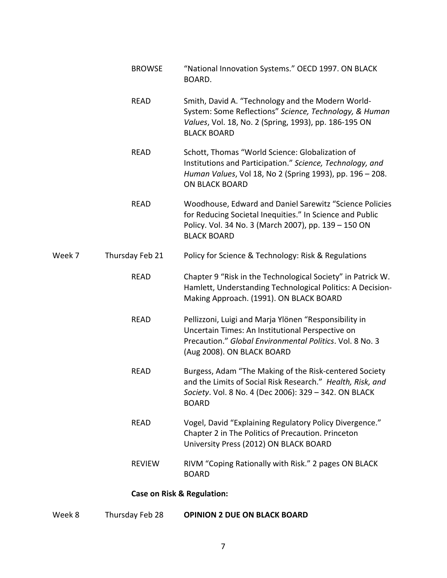|        | <b>BROWSE</b>   | "National Innovation Systems." OECD 1997. ON BLACK<br>BOARD.                                                                                                                                        |
|--------|-----------------|-----------------------------------------------------------------------------------------------------------------------------------------------------------------------------------------------------|
|        | <b>READ</b>     | Smith, David A. "Technology and the Modern World-<br>System: Some Reflections" Science, Technology, & Human<br>Values, Vol. 18, No. 2 (Spring, 1993), pp. 186-195 ON<br><b>BLACK BOARD</b>          |
|        | <b>READ</b>     | Schott, Thomas "World Science: Globalization of<br>Institutions and Participation." Science, Technology, and<br>Human Values, Vol 18, No 2 (Spring 1993), pp. 196 - 208.<br><b>ON BLACK BOARD</b>   |
|        | <b>READ</b>     | Woodhouse, Edward and Daniel Sarewitz "Science Policies<br>for Reducing Societal Inequities." In Science and Public<br>Policy. Vol. 34 No. 3 (March 2007), pp. 139 - 150 ON<br><b>BLACK BOARD</b>   |
| Week 7 | Thursday Feb 21 | Policy for Science & Technology: Risk & Regulations                                                                                                                                                 |
|        | <b>READ</b>     | Chapter 9 "Risk in the Technological Society" in Patrick W.<br>Hamlett, Understanding Technological Politics: A Decision-<br>Making Approach. (1991). ON BLACK BOARD                                |
|        | <b>READ</b>     | Pellizzoni, Luigi and Marja Ylönen "Responsibility in<br>Uncertain Times: An Institutional Perspective on<br>Precaution." Global Environmental Politics. Vol. 8 No. 3<br>(Aug 2008). ON BLACK BOARD |
|        | <b>READ</b>     | Burgess, Adam "The Making of the Risk-centered Society<br>and the Limits of Social Risk Research." Health, Risk, and<br>Society. Vol. 8 No. 4 (Dec 2006): 329 - 342. ON BLACK<br><b>BOARD</b>       |
|        | <b>READ</b>     | Vogel, David "Explaining Regulatory Policy Divergence."<br>Chapter 2 in The Politics of Precaution. Princeton<br>University Press (2012) ON BLACK BOARD                                             |
|        | <b>REVIEW</b>   | RIVM "Coping Rationally with Risk." 2 pages ON BLACK<br><b>BOARD</b>                                                                                                                                |
|        |                 | <b>Case on Risk &amp; Regulation:</b>                                                                                                                                                               |
|        |                 |                                                                                                                                                                                                     |

# Week 8 Thursday Feb 28 OPINION 2 DUE ON BLACK BOARD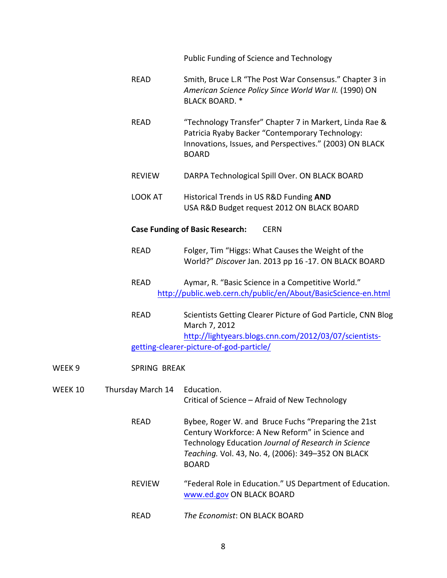Public Funding of Science and Technology

- READ Smith, Bruce L.R "The Post War Consensus." Chapter 3 in *American Science Policy Since World War II.* (1990) ON BLACK BOARD. \*
- READ "Technology Transfer" Chapter 7 in Markert, Linda Rae & Patricia Ryaby Backer "Contemporary Technology: Innovations, Issues, and Perspectives." (2003) ON BLACK BOARD
- REVIEW DARPA Technological Spill Over. ON BLACK BOARD
- LOOK AT Historical Trends in US R&D Funding **AND** USA R&D Budget request 2012 ON BLACK BOARD

#### **Case Funding of Basic Research:** CERN

- READ Folger, Tim "Higgs: What Causes the Weight of the World?" Discover Jan. 2013 pp 16 -17. ON BLACK BOARD
- READ Aymar, R. "Basic Science in a Competitive World." http://public.web.cern.ch/public/en/About/BasicScience-en.html
- READ Scientists Getting Clearer Picture of God Particle, CNN Blog March 7, 2012 http://lightyears.blogs.cnn.com/2012/03/07/scientistsgetting-clearer-picture-of-god-particle/
- WEEK 9 SPRING BREAK WEEK 10 Thursday March 14 Education. Critical of Science – Afraid of New Technology READ Bybee, Roger W. and Bruce Fuchs "Preparing the 21st Century Workforce: A New Reform" in Science and Technology Education *Journal of Research in Science* Teaching. Vol. 43, No. 4, (2006): 349-352 ON BLACK BOARD REVIEW "Federal Role in Education." US Department of Education. www.ed.gov ON BLACK BOARD **READ** *The Economist:* ON BLACK BOARD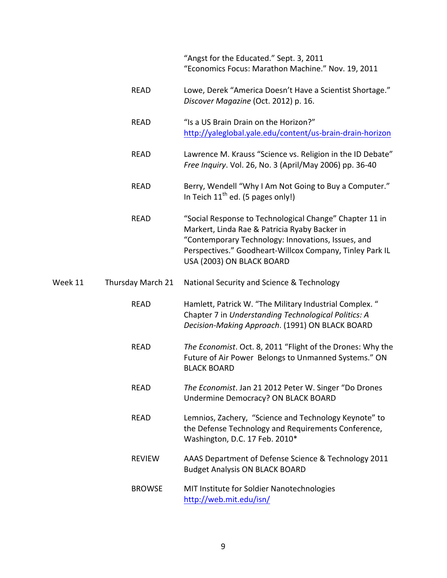"Angst for the Educated." Sept. 3, 2011 "Economics Focus: Marathon Machine." Nov. 19, 2011

- READ Lowe, Derek "America Doesn't Have a Scientist Shortage." *Discover Magazine* (Oct. 2012) p. 16.
- READ "Is a US Brain Drain on the Horizon?" http://yaleglobal.yale.edu/content/us-brain-drain-horizon
- READ Lawrence M. Krauss "Science vs. Religion in the ID Debate" *Free Inquiry.* Vol. 26, No. 3 (April/May 2006) pp. 36-40
- READ Berry, Wendell "Why I Am Not Going to Buy a Computer." In Teich  $11^{th}$  ed. (5 pages only!)
- READ "Social Response to Technological Change" Chapter 11 in Markert, Linda Rae & Patricia Ryaby Backer in "Contemporary Technology: Innovations, Issues, and Perspectives." Goodheart-Willcox Company, Tinley Park IL USA (2003) ON BLACK BOARD
- Week 11 Thursday March 21 National Security and Science & Technology
	- READ Hamlett, Patrick W. "The Military Industrial Complex." Chapter 7 in *Understanding Technological Politics: A Decision-Making Approach*. (1991) ON BLACK BOARD
	- READ *The Economist*. Oct. 8, 2011 "Flight of the Drones: Why the Future of Air Power Belongs to Unmanned Systems." ON BLACK BOARD
	- READ The Economist. Jan 21 2012 Peter W. Singer "Do Drones" Undermine Democracy? ON BLACK BOARD
	- READ Lemnios, Zachery, "Science and Technology Keynote" to the Defense Technology and Requirements Conference, Washington, D.C. 17 Feb. 2010\*
	- REVIEW AAAS Department of Defense Science & Technology 2011 **Budget Analysis ON BLACK BOARD**
	- BROWSE MIT Institute for Soldier Nanotechnologies http://web.mit.edu/isn/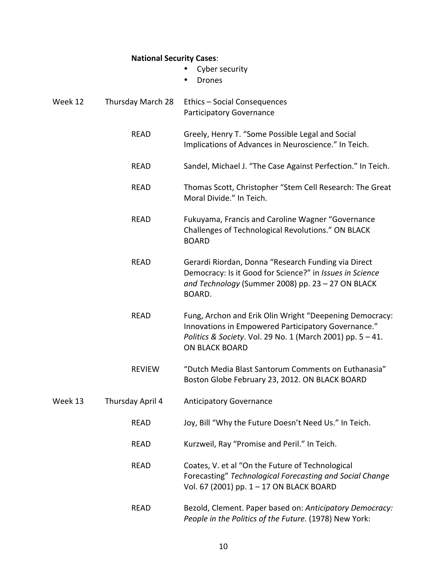### **National Security Cases**:

- Cyber security
- Drones

| Week 12 | Thursday March 28 | Ethics - Social Consequences<br>Participatory Governance                                                                                                                                              |
|---------|-------------------|-------------------------------------------------------------------------------------------------------------------------------------------------------------------------------------------------------|
|         | <b>READ</b>       | Greely, Henry T. "Some Possible Legal and Social<br>Implications of Advances in Neuroscience." In Teich.                                                                                              |
|         | <b>READ</b>       | Sandel, Michael J. "The Case Against Perfection." In Teich.                                                                                                                                           |
|         | <b>READ</b>       | Thomas Scott, Christopher "Stem Cell Research: The Great<br>Moral Divide." In Teich.                                                                                                                  |
|         | <b>READ</b>       | Fukuyama, Francis and Caroline Wagner "Governance<br>Challenges of Technological Revolutions." ON BLACK<br><b>BOARD</b>                                                                               |
|         | <b>READ</b>       | Gerardi Riordan, Donna "Research Funding via Direct<br>Democracy: Is it Good for Science?" in Issues in Science<br>and Technology (Summer 2008) pp. 23 - 27 ON BLACK<br>BOARD.                        |
|         | <b>READ</b>       | Fung, Archon and Erik Olin Wright "Deepening Democracy:<br>Innovations in Empowered Participatory Governance."<br>Politics & Society. Vol. 29 No. 1 (March 2001) pp. 5 - 41.<br><b>ON BLACK BOARD</b> |
|         | <b>REVIEW</b>     | "Dutch Media Blast Santorum Comments on Euthanasia"<br>Boston Globe February 23, 2012. ON BLACK BOARD                                                                                                 |
| Week 13 | Thursday April 4  | <b>Anticipatory Governance</b>                                                                                                                                                                        |
|         | <b>READ</b>       | Joy, Bill "Why the Future Doesn't Need Us." In Teich.                                                                                                                                                 |
|         | <b>READ</b>       | Kurzweil, Ray "Promise and Peril." In Teich.                                                                                                                                                          |
|         | <b>READ</b>       | Coates, V. et al "On the Future of Technological<br>Forecasting" Technological Forecasting and Social Change<br>Vol. 67 (2001) pp. 1 - 17 ON BLACK BOARD                                              |
|         | <b>READ</b>       | Bezold, Clement. Paper based on: Anticipatory Democracy:<br>People in the Politics of the Future. (1978) New York:                                                                                    |